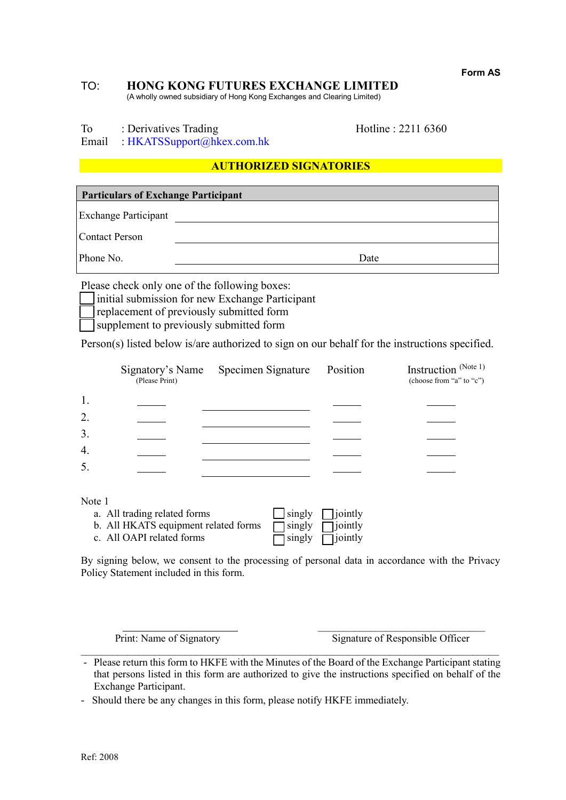**Form AS**

# TO: **HONG KONG FUTURES EXCHANGE LIMITED**

(A wholly owned subsidiary of Hong Kong Exchanges and Clearing Limited)

To : Derivatives Trading Hotline : 2211 6360

Email : [HKATSSupport@hkex.com.hk](mailto:HKATSSupport@hkex.com.hk)

# **AUTHORIZED SIGNATORIES**

**Particulars of Exchange Participant** Exchange Participant Contact Person Phone No. Date

Please check only one of the following boxes:

initial submission for new Exchange Participant

replacement of previously submitted form

supplement to previously submitted form

Person(s) listed below is/are authorized to sign on our behalf for the instructions specified.

|        | (Please Print)                       | Signatory's Name Specimen Signature | Position | Instruction (Note 1)<br>(choose from "a" to "c") |
|--------|--------------------------------------|-------------------------------------|----------|--------------------------------------------------|
| 1.     |                                      |                                     |          |                                                  |
| 2.     |                                      |                                     |          |                                                  |
| 3.     |                                      |                                     |          |                                                  |
| 4.     |                                      |                                     |          |                                                  |
| 5.     |                                      |                                     |          |                                                  |
|        |                                      |                                     |          |                                                  |
| Note 1 |                                      |                                     |          |                                                  |
|        | a. All trading related forms         | singly                              | jointly  |                                                  |
|        | b. All HKATS equipment related forms | singly                              | jointly  |                                                  |
|        | c. All OAPI related forms            | singly                              | jointly  |                                                  |

By signing below, we consent to the processing of personal data in accordance with the Privacy Policy Statement included in this form.

 $\mathcal{L}_\text{max}$ Print: Name of Signatory Signature of Responsible Officer

 $\mathcal{L}_\mathcal{L} = \{ \mathcal{L}_\mathcal{L} = \{ \mathcal{L}_\mathcal{L} = \{ \mathcal{L}_\mathcal{L} = \{ \mathcal{L}_\mathcal{L} = \{ \mathcal{L}_\mathcal{L} = \{ \mathcal{L}_\mathcal{L} = \{ \mathcal{L}_\mathcal{L} = \{ \mathcal{L}_\mathcal{L} = \{ \mathcal{L}_\mathcal{L} = \{ \mathcal{L}_\mathcal{L} = \{ \mathcal{L}_\mathcal{L} = \{ \mathcal{L}_\mathcal{L} = \{ \mathcal{L}_\mathcal{L} = \{ \mathcal{L}_\mathcal{$ - Please return this form to HKFE with the Minutes of the Board of the Exchange Participant stating that persons listed in this form are authorized to give the instructions specified on behalf of the Exchange Participant.

<sup>-</sup> Should there be any changes in this form, please notify HKFE immediately.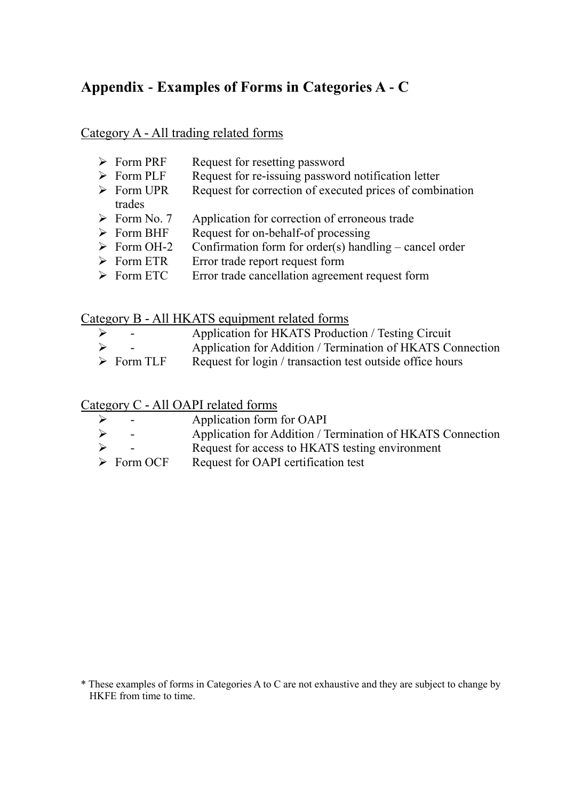# **Appendix - Examples of Forms in Categories A - C**

# Category A - All trading related forms

- Form PRF Request for resetting password<br>Form PLF Request for re-issuing password Request for re-issuing password notification letter  $\triangleright$  Form UPR Request for correction of executed prices of combination trades  $\triangleright$  Form No. 7 Application for correction of erroneous trade
- $\triangleright$  Form BHF Request for on-behalf-of processing
- $\triangleright$  Form OH-2 Confirmation form for order(s) handling cancel order
- $\triangleright$  Form ETR Error trade report request form
- > Form ETC Error trade cancellation agreement request form

# Category B - All HKATS equipment related forms

- Application for HKATS Production / Testing Circuit - Application for Addition / Termination of HKATS Connection
- $\triangleright$  Form TLF Request for login / transaction test outside office hours

Category C - All OAPI related forms

| ➤ | $\sim$                    | Application form for OAPI                                  |
|---|---------------------------|------------------------------------------------------------|
| ➤ | $\sim$                    | Application for Addition / Termination of HKATS Connection |
| ➤ |                           | Request for access to HKATS testing environment            |
|   | $\triangleright$ Form OCF | Request for OAPI certification test                        |

<sup>\*</sup> These examples of forms in Categories A to C are not exhaustive and they are subject to change by HKFE from time to time.